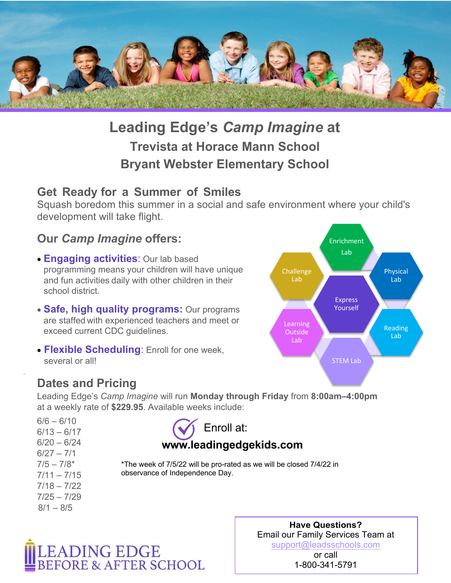

## **Leading Edge's** *Camp Imagine* **at Trevista at Horace Mann School Bryant Webster Elementary School**

## **Get Ready for a Summer of Smiles**

Squash boredom this summer in a social and safe environment where your child's development will take flight.

## **Our** *Camp Imagine* **offers:**

- **Engaging activities**: Our lab based programming means your children will have unique and fun activities daily with other children in their school district.
- **Safe, high quality programs:** Our programs are staffed with experienced teachers and meet or exceed current CDC guidelines.
- **Flexible Scheduling**: Enroll for one week, several or all!



## **Dates and Pricing**

Leading Edge's *Camp Imagine* will run **Monday through Friday** from **8:00am–4:00pm** at a weekly rate of **\$229.95**. Available weeks include:

 $6/6 - 6/10$  $6/13 - 6/17$  $6/20 - 6/24$  $6/27 - 7/1$  $7/5 - 7/8*$  $7/11 - 7/15$ 7/18 – 7/22  $7/25 - 7/29$  $8/1 - 8/5$ 



\*The week of 7/5/22 will be pro-rated as we will be closed 7/4/22 in observance of Independence Day.



**Have Questions?** Email our Family Services Team at support@leadsschools.com

> or call 1-800-341-5791